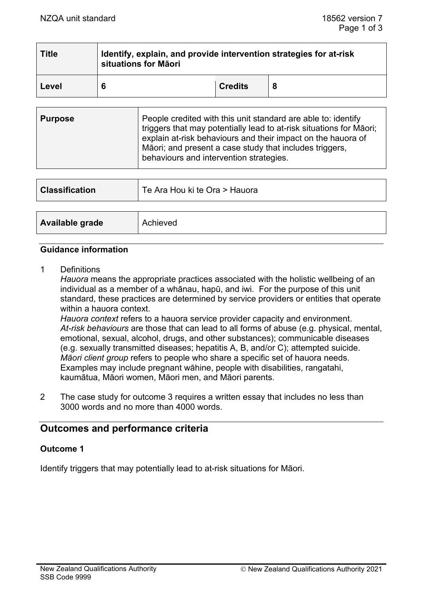| <b>Title</b> | Identify, explain, and provide intervention strategies for at-risk<br>situations for Māori |                |  |  |
|--------------|--------------------------------------------------------------------------------------------|----------------|--|--|
| Level        |                                                                                            | <b>Credits</b> |  |  |

| explain at-risk behaviours and their impact on the hauora of<br>Māori; and present a case study that includes triggers,<br>behaviours and intervention strategies. |
|--------------------------------------------------------------------------------------------------------------------------------------------------------------------|
|--------------------------------------------------------------------------------------------------------------------------------------------------------------------|

| <b>Classification</b> | Te Ara Hou ki te Ora > Hauora |
|-----------------------|-------------------------------|
|                       |                               |
| Available grade       | Achieved                      |

#### **Guidance information**

1 Definitions

*Hauora* means the appropriate practices associated with the holistic wellbeing of an individual as a member of a whānau, hapū, and iwi. For the purpose of this unit standard, these practices are determined by service providers or entities that operate within a hauora context.

*Hauora context* refers to a hauora service provider capacity and environment. *At-risk behaviours* are those that can lead to all forms of abuse (e.g. physical, mental, emotional, sexual, alcohol, drugs, and other substances); communicable diseases (e.g. sexually transmitted diseases; hepatitis A, B, and/or C); attempted suicide. *Māori client group* refers to people who share a specific set of hauora needs. Examples may include pregnant wāhine, people with disabilities, rangatahi, kaumātua, Māori women, Māori men, and Māori parents.

2 The case study for outcome 3 requires a written essay that includes no less than 3000 words and no more than 4000 words.

# **Outcomes and performance criteria**

### **Outcome 1**

Identify triggers that may potentially lead to at-risk situations for Māori.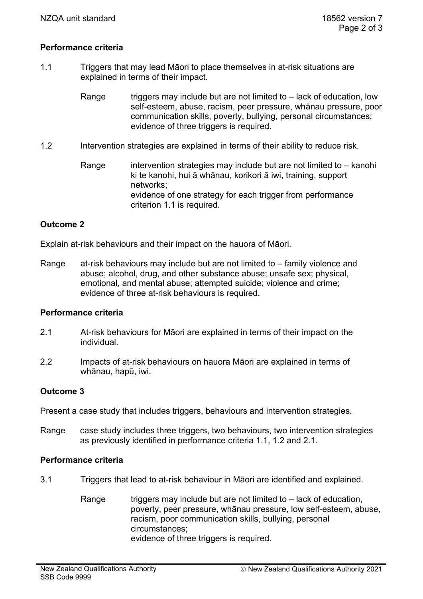# **Performance criteria**

- 1.1 Triggers that may lead Māori to place themselves in at-risk situations are explained in terms of their impact.
	- Range  $t_{\text{r}}$  triggers may include but are not limited to  $-$  lack of education, low self-esteem, abuse, racism, peer pressure, whānau pressure, poor communication skills, poverty, bullying, personal circumstances; evidence of three triggers is required.
- 1.2 Intervention strategies are explained in terms of their ability to reduce risk.
	- Range intervention strategies may include but are not limited to  $-$  kanohi ki te kanohi, hui ā whānau, korikori ā iwi, training, support networks; evidence of one strategy for each trigger from performance criterion 1.1 is required.

# **Outcome 2**

Explain at-risk behaviours and their impact on the hauora of Māori.

Range at-risk behaviours may include but are not limited to – family violence and abuse; alcohol, drug, and other substance abuse; unsafe sex; physical, emotional, and mental abuse; attempted suicide; violence and crime; evidence of three at-risk behaviours is required.

### **Performance criteria**

- 2.1 At-risk behaviours for Māori are explained in terms of their impact on the individual.
- 2.2 Impacts of at-risk behaviours on hauora Māori are explained in terms of whānau, hapū, iwi.

### **Outcome 3**

Present a case study that includes triggers, behaviours and intervention strategies.

Range case study includes three triggers, two behaviours, two intervention strategies as previously identified in performance criteria 1.1, 1.2 and 2.1.

### **Performance criteria**

- 3.1 Triggers that lead to at-risk behaviour in Māori are identified and explained.
	- Range  $t_{\text{ridge}}$  triggers may include but are not limited to  $-$  lack of education, poverty, peer pressure, whānau pressure, low self-esteem, abuse, racism, poor communication skills, bullying, personal circumstances; evidence of three triggers is required.